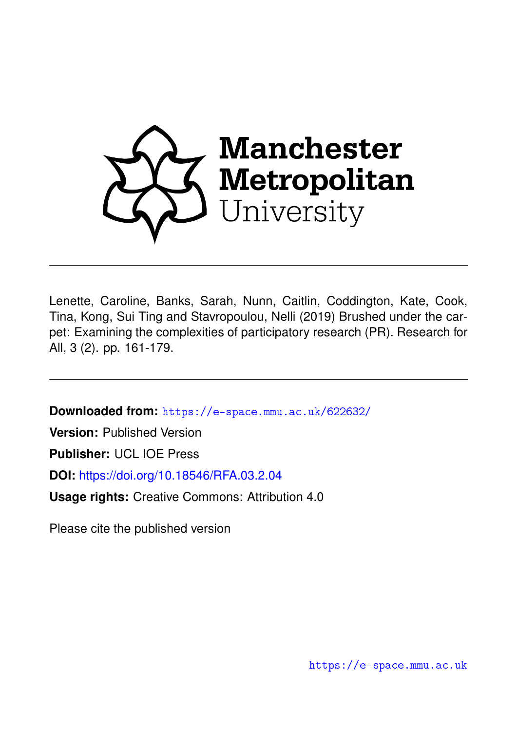

Lenette, Caroline, Banks, Sarah, Nunn, Caitlin, Coddington, Kate, Cook, Tina, Kong, Sui Ting and Stavropoulou, Nelli (2019) Brushed under the carpet: Examining the complexities of participatory research (PR). Research for All, 3 (2). pp. 161-179.

**Downloaded from:** <https://e-space.mmu.ac.uk/622632/>

**Version:** Published Version

**Publisher:** UCL IOE Press

**DOI:** <https://doi.org/10.18546/RFA.03.2.04>

**Usage rights:** Creative Commons: Attribution 4.0

Please cite the published version

<https://e-space.mmu.ac.uk>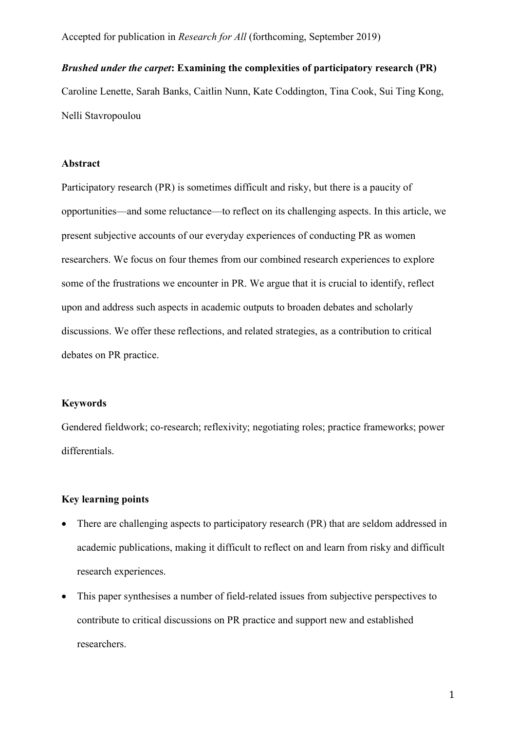# *Brushed under the carpet***: Examining the complexities of participatory research (PR)**

Caroline Lenette, Sarah Banks, Caitlin Nunn, Kate Coddington, Tina Cook, Sui Ting Kong, Nelli Stavropoulou

#### **Abstract**

Participatory research (PR) is sometimes difficult and risky, but there is a paucity of opportunities—and some reluctance—to reflect on its challenging aspects. In this article, we present subjective accounts of our everyday experiences of conducting PR as women researchers. We focus on four themes from our combined research experiences to explore some of the frustrations we encounter in PR. We argue that it is crucial to identify, reflect upon and address such aspects in academic outputs to broaden debates and scholarly discussions. We offer these reflections, and related strategies, as a contribution to critical debates on PR practice.

# **Keywords**

Gendered fieldwork; co-research; reflexivity; negotiating roles; practice frameworks; power differentials.

# **Key learning points**

- There are challenging aspects to participatory research (PR) that are seldom addressed in academic publications, making it difficult to reflect on and learn from risky and difficult research experiences.
- This paper synthesises a number of field-related issues from subjective perspectives to contribute to critical discussions on PR practice and support new and established researchers.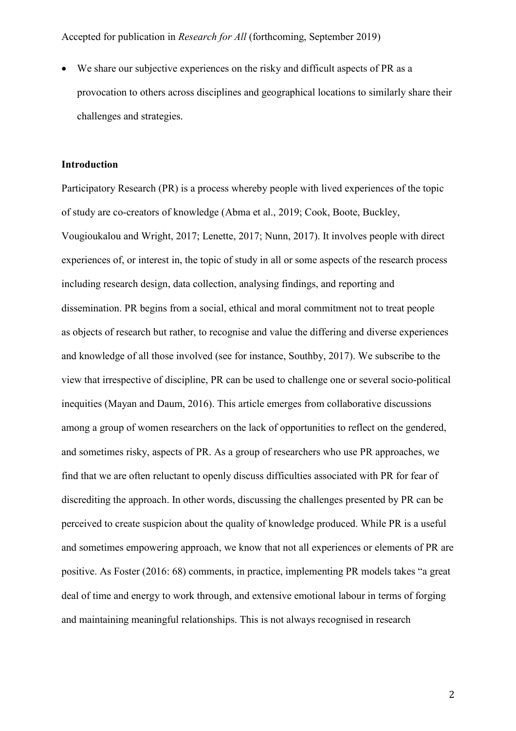We share our subjective experiences on the risky and difficult aspects of PR as a provocation to others across disciplines and geographical locations to similarly share their challenges and strategies.

#### **Introduction**

Participatory Research (PR) is a process whereby people with lived experiences of the topic of study are co-creators of knowledge (Abma et al., 2019; Cook, Boote, Buckley, Vougioukalou and Wright, 2017; Lenette, 2017; Nunn, 2017). It involves people with direct experiences of, or interest in, the topic of study in all or some aspects of the research process including research design, data collection, analysing findings, and reporting and dissemination. PR begins from a social, ethical and moral commitment not to treat people as objects of research but rather, to recognise and value the differing and diverse experiences and knowledge of all those involved (see for instance, Southby, 2017). We subscribe to the view that irrespective of discipline, PR can be used to challenge one or several socio-political inequities (Mayan and Daum, 2016). This article emerges from collaborative discussions among a group of women researchers on the lack of opportunities to reflect on the gendered, and sometimes risky, aspects of PR. As a group of researchers who use PR approaches, we find that we are often reluctant to openly discuss difficulties associated with PR for fear of discrediting the approach. In other words, discussing the challenges presented by PR can be perceived to create suspicion about the quality of knowledge produced. While PR is a useful and sometimes empowering approach, we know that not all experiences or elements of PR are positive. As Foster (2016: 68) comments, in practice, implementing PR models takes "a great deal of time and energy to work through, and extensive emotional labour in terms of forging and maintaining meaningful relationships. This is not always recognised in research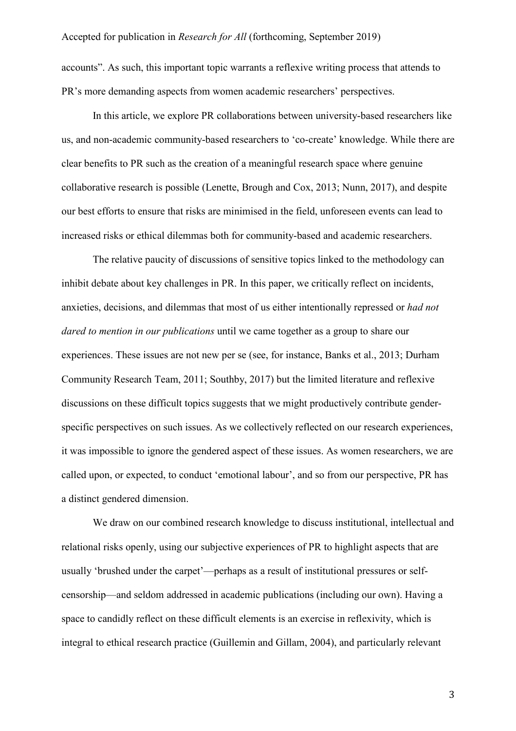accounts". As such, this important topic warrants a reflexive writing process that attends to PR's more demanding aspects from women academic researchers' perspectives.

In this article, we explore PR collaborations between university-based researchers like us, and non-academic community-based researchers to 'co-create' knowledge. While there are clear benefits to PR such as the creation of a meaningful research space where genuine collaborative research is possible (Lenette, Brough and Cox, 2013; Nunn, 2017), and despite our best efforts to ensure that risks are minimised in the field, unforeseen events can lead to increased risks or ethical dilemmas both for community-based and academic researchers.

The relative paucity of discussions of sensitive topics linked to the methodology can inhibit debate about key challenges in PR. In this paper, we critically reflect on incidents, anxieties, decisions, and dilemmas that most of us either intentionally repressed or *had not dared to mention in our publications* until we came together as a group to share our experiences. These issues are not new per se (see, for instance, Banks et al., 2013; Durham Community Research Team, 2011; Southby, 2017) but the limited literature and reflexive discussions on these difficult topics suggests that we might productively contribute genderspecific perspectives on such issues. As we collectively reflected on our research experiences, it was impossible to ignore the gendered aspect of these issues. As women researchers, we are called upon, or expected, to conduct 'emotional labour', and so from our perspective, PR has a distinct gendered dimension.

We draw on our combined research knowledge to discuss institutional, intellectual and relational risks openly, using our subjective experiences of PR to highlight aspects that are usually 'brushed under the carpet'—perhaps as a result of institutional pressures or selfcensorship—and seldom addressed in academic publications (including our own). Having a space to candidly reflect on these difficult elements is an exercise in reflexivity, which is integral to ethical research practice (Guillemin and Gillam, 2004), and particularly relevant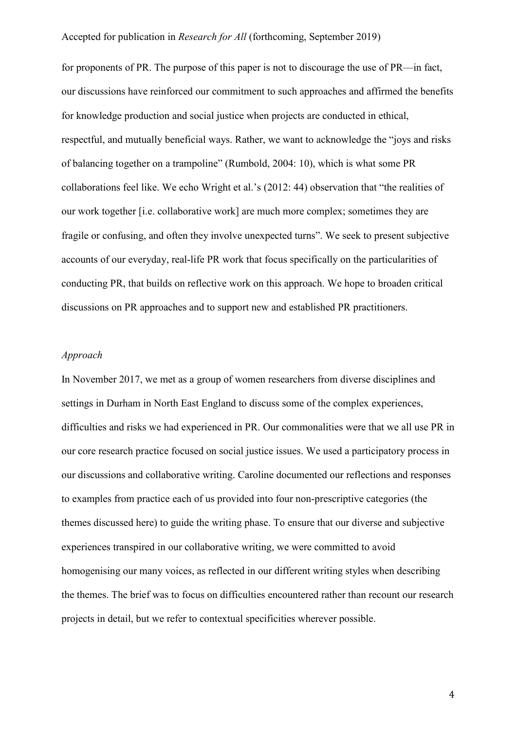for proponents of PR. The purpose of this paper is not to discourage the use of PR—in fact, our discussions have reinforced our commitment to such approaches and affirmed the benefits for knowledge production and social justice when projects are conducted in ethical, respectful, and mutually beneficial ways. Rather, we want to acknowledge the "joys and risks of balancing together on a trampoline" (Rumbold, 2004: 10), which is what some PR collaborations feel like. We echo Wright et al.'s (2012: 44) observation that "the realities of our work together [i.e. collaborative work] are much more complex; sometimes they are fragile or confusing, and often they involve unexpected turns". We seek to present subjective accounts of our everyday, real-life PR work that focus specifically on the particularities of conducting PR, that builds on reflective work on this approach. We hope to broaden critical discussions on PR approaches and to support new and established PR practitioners.

### *Approach*

In November 2017, we met as a group of women researchers from diverse disciplines and settings in Durham in North East England to discuss some of the complex experiences, difficulties and risks we had experienced in PR. Our commonalities were that we all use PR in our core research practice focused on social justice issues. We used a participatory process in our discussions and collaborative writing. Caroline documented our reflections and responses to examples from practice each of us provided into four non-prescriptive categories (the themes discussed here) to guide the writing phase. To ensure that our diverse and subjective experiences transpired in our collaborative writing, we were committed to avoid homogenising our many voices, as reflected in our different writing styles when describing the themes. The brief was to focus on difficulties encountered rather than recount our research projects in detail, but we refer to contextual specificities wherever possible.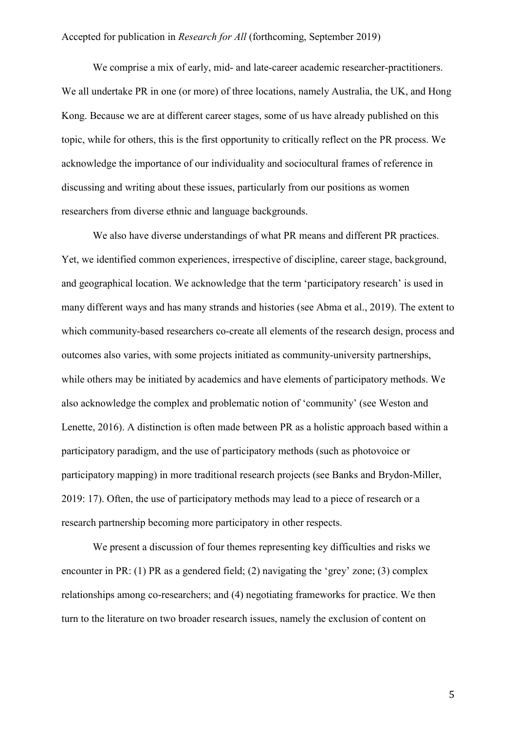We comprise a mix of early, mid- and late-career academic researcher-practitioners. We all undertake PR in one (or more) of three locations, namely Australia, the UK, and Hong Kong. Because we are at different career stages, some of us have already published on this topic, while for others, this is the first opportunity to critically reflect on the PR process. We acknowledge the importance of our individuality and sociocultural frames of reference in discussing and writing about these issues, particularly from our positions as women researchers from diverse ethnic and language backgrounds.

We also have diverse understandings of what PR means and different PR practices. Yet, we identified common experiences, irrespective of discipline, career stage, background, and geographical location. We acknowledge that the term 'participatory research' is used in many different ways and has many strands and histories (see Abma et al., 2019). The extent to which community-based researchers co-create all elements of the research design, process and outcomes also varies, with some projects initiated as community-university partnerships, while others may be initiated by academics and have elements of participatory methods. We also acknowledge the complex and problematic notion of 'community' (see Weston and Lenette, 2016). A distinction is often made between PR as a holistic approach based within a participatory paradigm, and the use of participatory methods (such as photovoice or participatory mapping) in more traditional research projects (see Banks and Brydon-Miller, 2019: 17). Often, the use of participatory methods may lead to a piece of research or a research partnership becoming more participatory in other respects.

We present a discussion of four themes representing key difficulties and risks we encounter in PR: (1) PR as a gendered field; (2) navigating the 'grey' zone; (3) complex relationships among co-researchers; and (4) negotiating frameworks for practice. We then turn to the literature on two broader research issues, namely the exclusion of content on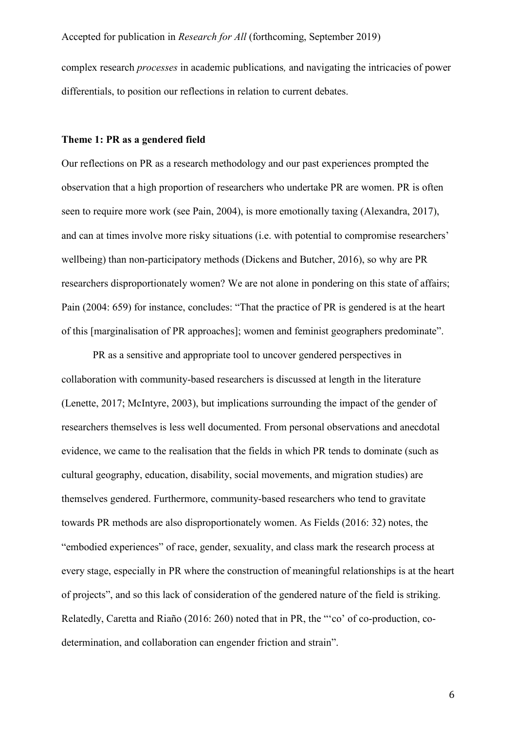complex research *processes* in academic publications*,* and navigating the intricacies of power differentials, to position our reflections in relation to current debates.

#### **Theme 1: PR as a gendered field**

Our reflections on PR as a research methodology and our past experiences prompted the observation that a high proportion of researchers who undertake PR are women. PR is often seen to require more work (see Pain, 2004), is more emotionally taxing (Alexandra, 2017), and can at times involve more risky situations (i.e. with potential to compromise researchers' wellbeing) than non-participatory methods (Dickens and Butcher, 2016), so why are PR researchers disproportionately women? We are not alone in pondering on this state of affairs; Pain (2004: 659) for instance, concludes: "That the practice of PR is gendered is at the heart of this [marginalisation of PR approaches]; women and feminist geographers predominate".

PR as a sensitive and appropriate tool to uncover gendered perspectives in collaboration with community-based researchers is discussed at length in the literature (Lenette, 2017; McIntyre, 2003), but implications surrounding the impact of the gender of researchers themselves is less well documented. From personal observations and anecdotal evidence, we came to the realisation that the fields in which PR tends to dominate (such as cultural geography, education, disability, social movements, and migration studies) are themselves gendered. Furthermore, community-based researchers who tend to gravitate towards PR methods are also disproportionately women. As Fields (2016: 32) notes, the "embodied experiences" of race, gender, sexuality, and class mark the research process at every stage, especially in PR where the construction of meaningful relationships is at the heart of projects", and so this lack of consideration of the gendered nature of the field is striking. Relatedly, Caretta and Riaño (2016: 260) noted that in PR, the "'co' of co-production, codetermination, and collaboration can engender friction and strain".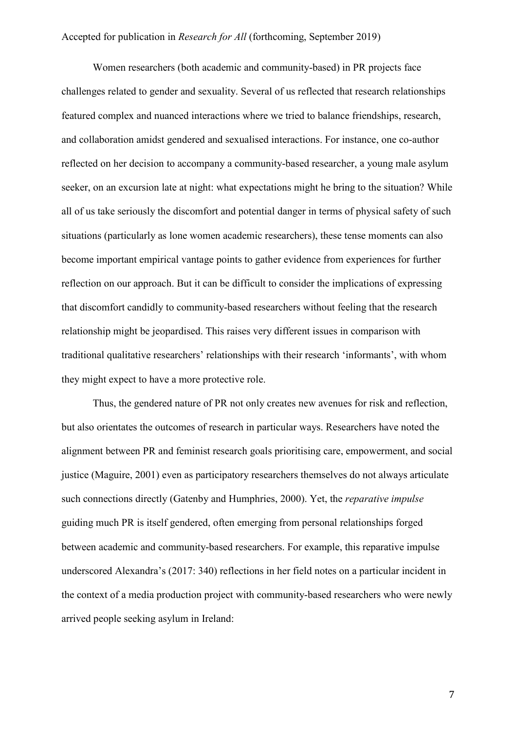Women researchers (both academic and community-based) in PR projects face challenges related to gender and sexuality. Several of us reflected that research relationships featured complex and nuanced interactions where we tried to balance friendships, research, and collaboration amidst gendered and sexualised interactions. For instance, one co-author reflected on her decision to accompany a community-based researcher, a young male asylum seeker, on an excursion late at night: what expectations might he bring to the situation? While all of us take seriously the discomfort and potential danger in terms of physical safety of such situations (particularly as lone women academic researchers), these tense moments can also become important empirical vantage points to gather evidence from experiences for further reflection on our approach. But it can be difficult to consider the implications of expressing that discomfort candidly to community-based researchers without feeling that the research relationship might be jeopardised. This raises very different issues in comparison with traditional qualitative researchers' relationships with their research 'informants', with whom they might expect to have a more protective role.

Thus, the gendered nature of PR not only creates new avenues for risk and reflection, but also orientates the outcomes of research in particular ways. Researchers have noted the alignment between PR and feminist research goals prioritising care, empowerment, and social justice (Maguire, 2001) even as participatory researchers themselves do not always articulate such connections directly (Gatenby and Humphries, 2000). Yet, the *reparative impulse* guiding much PR is itself gendered, often emerging from personal relationships forged between academic and community-based researchers. For example, this reparative impulse underscored Alexandra's (2017: 340) reflections in her field notes on a particular incident in the context of a media production project with community-based researchers who were newly arrived people seeking asylum in Ireland: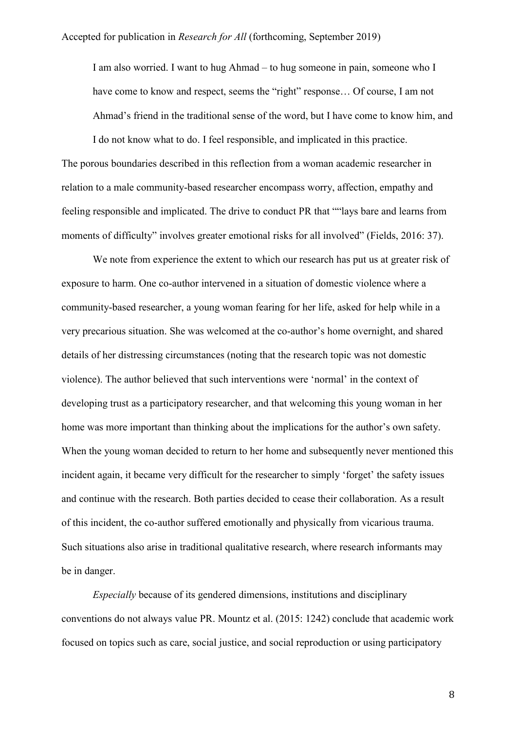I am also worried. I want to hug Ahmad – to hug someone in pain, someone who I have come to know and respect, seems the "right" response... Of course, I am not Ahmad's friend in the traditional sense of the word, but I have come to know him, and I do not know what to do. I feel responsible, and implicated in this practice.

The porous boundaries described in this reflection from a woman academic researcher in relation to a male community-based researcher encompass worry, affection, empathy and feeling responsible and implicated. The drive to conduct PR that ""lays bare and learns from moments of difficulty" involves greater emotional risks for all involved" (Fields, 2016: 37).

We note from experience the extent to which our research has put us at greater risk of exposure to harm. One co-author intervened in a situation of domestic violence where a community-based researcher, a young woman fearing for her life, asked for help while in a very precarious situation. She was welcomed at the co-author's home overnight, and shared details of her distressing circumstances (noting that the research topic was not domestic violence). The author believed that such interventions were 'normal' in the context of developing trust as a participatory researcher, and that welcoming this young woman in her home was more important than thinking about the implications for the author's own safety. When the young woman decided to return to her home and subsequently never mentioned this incident again, it became very difficult for the researcher to simply 'forget' the safety issues and continue with the research. Both parties decided to cease their collaboration. As a result of this incident, the co-author suffered emotionally and physically from vicarious trauma. Such situations also arise in traditional qualitative research, where research informants may be in danger.

*Especially* because of its gendered dimensions, institutions and disciplinary conventions do not always value PR. Mountz et al. (2015: 1242) conclude that academic work focused on topics such as care, social justice, and social reproduction or using participatory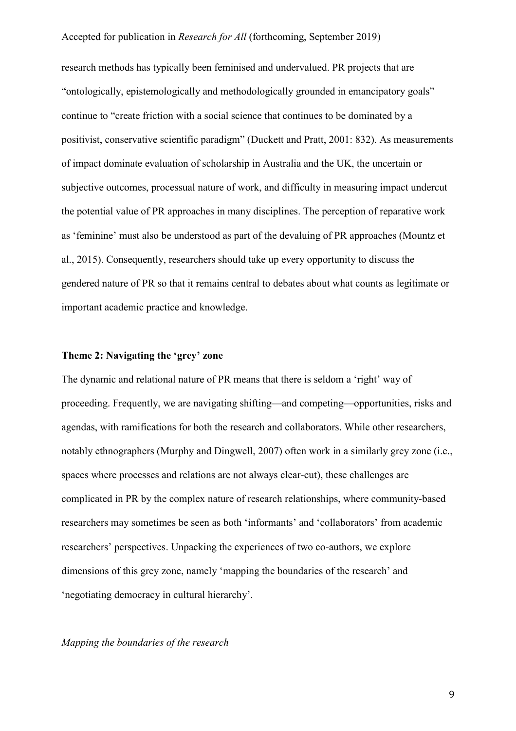research methods has typically been feminised and undervalued. PR projects that are "ontologically, epistemologically and methodologically grounded in emancipatory goals" continue to "create friction with a social science that continues to be dominated by a positivist, conservative scientific paradigm" (Duckett and Pratt, 2001: 832). As measurements of impact dominate evaluation of scholarship in Australia and the UK, the uncertain or subjective outcomes, processual nature of work, and difficulty in measuring impact undercut the potential value of PR approaches in many disciplines. The perception of reparative work as 'feminine' must also be understood as part of the devaluing of PR approaches (Mountz et al., 2015). Consequently, researchers should take up every opportunity to discuss the gendered nature of PR so that it remains central to debates about what counts as legitimate or important academic practice and knowledge.

#### **Theme 2: Navigating the 'grey' zone**

The dynamic and relational nature of PR means that there is seldom a 'right' way of proceeding. Frequently, we are navigating shifting—and competing—opportunities, risks and agendas, with ramifications for both the research and collaborators. While other researchers, notably ethnographers (Murphy and Dingwell, 2007) often work in a similarly grey zone (i.e., spaces where processes and relations are not always clear-cut), these challenges are complicated in PR by the complex nature of research relationships, where community-based researchers may sometimes be seen as both 'informants' and 'collaborators' from academic researchers' perspectives. Unpacking the experiences of two co-authors, we explore dimensions of this grey zone, namely 'mapping the boundaries of the research' and 'negotiating democracy in cultural hierarchy'.

#### *Mapping the boundaries of the research*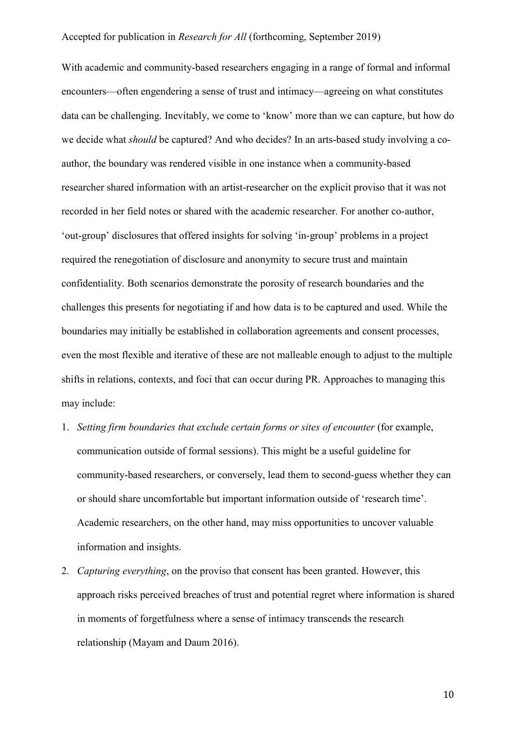With academic and community-based researchers engaging in a range of formal and informal encounters—often engendering a sense of trust and intimacy—agreeing on what constitutes data can be challenging. Inevitably, we come to 'know' more than we can capture, but how do we decide what *should* be captured? And who decides? In an arts-based study involving a coauthor, the boundary was rendered visible in one instance when a community-based researcher shared information with an artist-researcher on the explicit proviso that it was not recorded in her field notes or shared with the academic researcher. For another co-author, 'out-group' disclosures that offered insights for solving 'in-group' problems in a project required the renegotiation of disclosure and anonymity to secure trust and maintain confidentiality. Both scenarios demonstrate the porosity of research boundaries and the challenges this presents for negotiating if and how data is to be captured and used. While the boundaries may initially be established in collaboration agreements and consent processes, even the most flexible and iterative of these are not malleable enough to adjust to the multiple shifts in relations, contexts, and foci that can occur during PR. Approaches to managing this may include:

- 1. *Setting firm boundaries that exclude certain forms or sites of encounter* (for example, communication outside of formal sessions). This might be a useful guideline for community-based researchers, or conversely, lead them to second-guess whether they can or should share uncomfortable but important information outside of 'research time'. Academic researchers, on the other hand, may miss opportunities to uncover valuable information and insights.
- 2. *Capturing everything*, on the proviso that consent has been granted. However, this approach risks perceived breaches of trust and potential regret where information is shared in moments of forgetfulness where a sense of intimacy transcends the research relationship (Mayam and Daum 2016).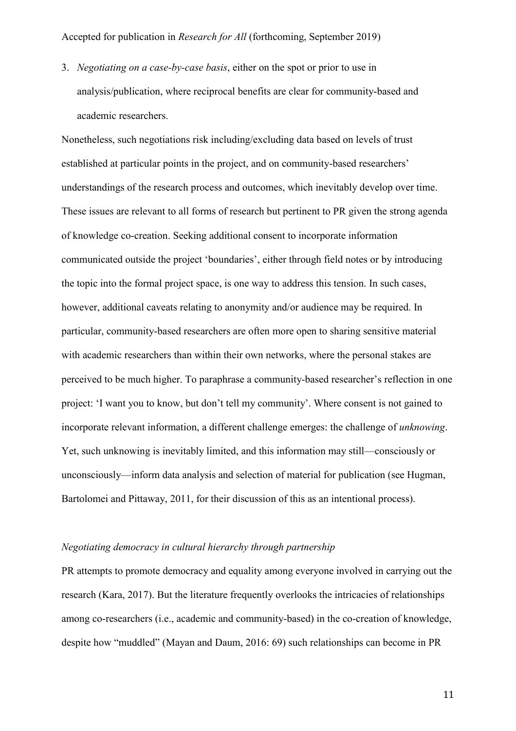3. *Negotiating on a case-by-case basis*, either on the spot or prior to use in analysis/publication, where reciprocal benefits are clear for community-based and academic researchers.

Nonetheless, such negotiations risk including/excluding data based on levels of trust established at particular points in the project, and on community-based researchers' understandings of the research process and outcomes, which inevitably develop over time. These issues are relevant to all forms of research but pertinent to PR given the strong agenda of knowledge co-creation. Seeking additional consent to incorporate information communicated outside the project 'boundaries', either through field notes or by introducing the topic into the formal project space, is one way to address this tension. In such cases, however, additional caveats relating to anonymity and/or audience may be required. In particular, community-based researchers are often more open to sharing sensitive material with academic researchers than within their own networks, where the personal stakes are perceived to be much higher. To paraphrase a community-based researcher's reflection in one project: 'I want you to know, but don't tell my community'. Where consent is not gained to incorporate relevant information, a different challenge emerges: the challenge of *unknowing*. Yet, such unknowing is inevitably limited, and this information may still—consciously or unconsciously—inform data analysis and selection of material for publication (see Hugman, Bartolomei and Pittaway, 2011, for their discussion of this as an intentional process).

# *Negotiating democracy in cultural hierarchy through partnership*

PR attempts to promote democracy and equality among everyone involved in carrying out the research (Kara, 2017). But the literature frequently overlooks the intricacies of relationships among co-researchers (i.e., academic and community-based) in the co-creation of knowledge, despite how "muddled" (Mayan and Daum, 2016: 69) such relationships can become in PR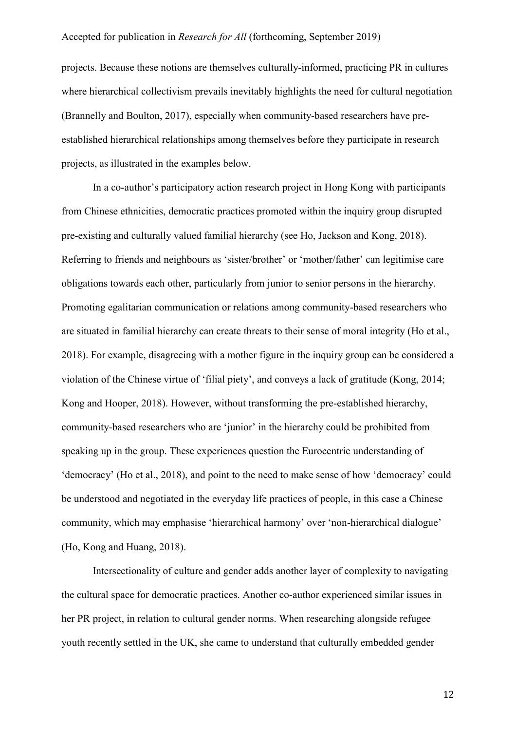projects. Because these notions are themselves culturally-informed, practicing PR in cultures where hierarchical collectivism prevails inevitably highlights the need for cultural negotiation (Brannelly and Boulton, 2017), especially when community-based researchers have preestablished hierarchical relationships among themselves before they participate in research projects, as illustrated in the examples below.

In a co-author's participatory action research project in Hong Kong with participants from Chinese ethnicities, democratic practices promoted within the inquiry group disrupted pre-existing and culturally valued familial hierarchy (see Ho, Jackson and Kong, 2018). Referring to friends and neighbours as 'sister/brother' or 'mother/father' can legitimise care obligations towards each other, particularly from junior to senior persons in the hierarchy. Promoting egalitarian communication or relations among community-based researchers who are situated in familial hierarchy can create threats to their sense of moral integrity (Ho et al., 2018). For example, disagreeing with a mother figure in the inquiry group can be considered a violation of the Chinese virtue of 'filial piety', and conveys a lack of gratitude (Kong, 2014; Kong and Hooper, 2018). However, without transforming the pre-established hierarchy, community-based researchers who are 'junior' in the hierarchy could be prohibited from speaking up in the group. These experiences question the Eurocentric understanding of 'democracy' (Ho et al., 2018), and point to the need to make sense of how 'democracy' could be understood and negotiated in the everyday life practices of people, in this case a Chinese community, which may emphasise 'hierarchical harmony' over 'non-hierarchical dialogue' (Ho, Kong and Huang, 2018).

Intersectionality of culture and gender adds another layer of complexity to navigating the cultural space for democratic practices. Another co-author experienced similar issues in her PR project, in relation to cultural gender norms. When researching alongside refugee youth recently settled in the UK, she came to understand that culturally embedded gender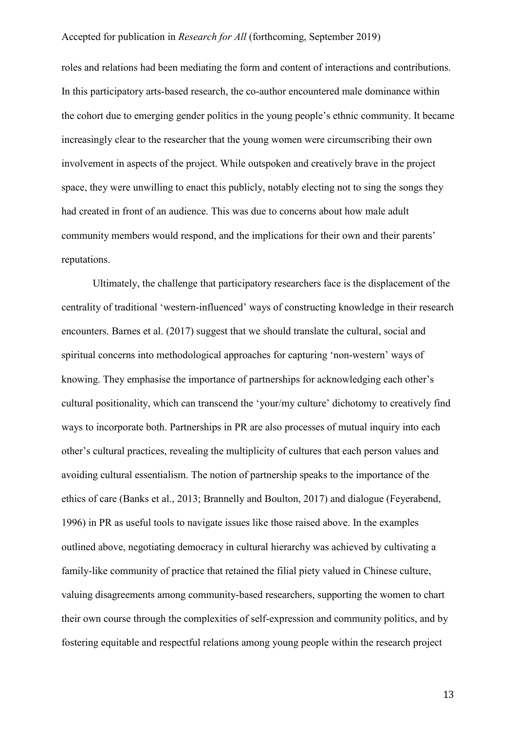roles and relations had been mediating the form and content of interactions and contributions. In this participatory arts-based research, the co-author encountered male dominance within the cohort due to emerging gender politics in the young people's ethnic community. It became increasingly clear to the researcher that the young women were circumscribing their own involvement in aspects of the project. While outspoken and creatively brave in the project space, they were unwilling to enact this publicly, notably electing not to sing the songs they had created in front of an audience. This was due to concerns about how male adult community members would respond, and the implications for their own and their parents' reputations.

Ultimately, the challenge that participatory researchers face is the displacement of the centrality of traditional 'western-influenced' ways of constructing knowledge in their research encounters. Barnes et al. (2017) suggest that we should translate the cultural, social and spiritual concerns into methodological approaches for capturing 'non-western' ways of knowing. They emphasise the importance of partnerships for acknowledging each other's cultural positionality, which can transcend the 'your/my culture' dichotomy to creatively find ways to incorporate both. Partnerships in PR are also processes of mutual inquiry into each other's cultural practices, revealing the multiplicity of cultures that each person values and avoiding cultural essentialism. The notion of partnership speaks to the importance of the ethics of care (Banks et al., 2013; Brannelly and Boulton, 2017) and dialogue (Feyerabend, 1996) in PR as useful tools to navigate issues like those raised above. In the examples outlined above, negotiating democracy in cultural hierarchy was achieved by cultivating a family-like community of practice that retained the filial piety valued in Chinese culture, valuing disagreements among community-based researchers, supporting the women to chart their own course through the complexities of self-expression and community politics, and by fostering equitable and respectful relations among young people within the research project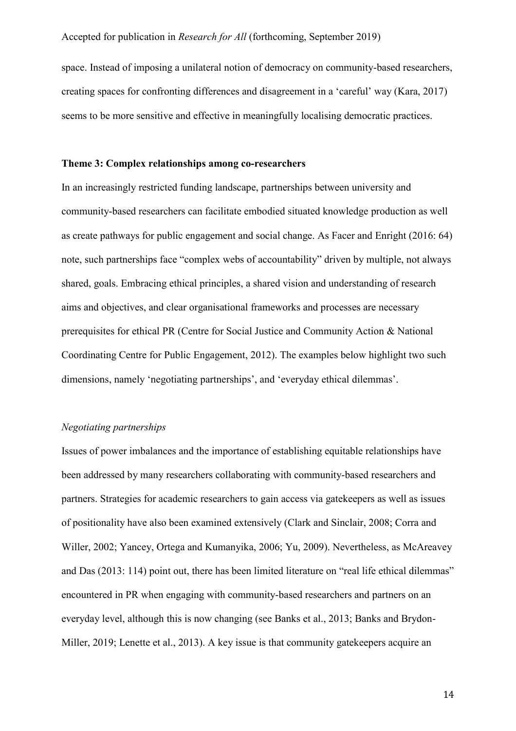space. Instead of imposing a unilateral notion of democracy on community-based researchers, creating spaces for confronting differences and disagreement in a 'careful' way (Kara, 2017) seems to be more sensitive and effective in meaningfully localising democratic practices.

#### **Theme 3: Complex relationships among co-researchers**

In an increasingly restricted funding landscape, partnerships between university and community-based researchers can facilitate embodied situated knowledge production as well as create pathways for public engagement and social change. As Facer and Enright (2016: 64) note, such partnerships face "complex webs of accountability" driven by multiple, not always shared, goals. Embracing ethical principles, a shared vision and understanding of research aims and objectives, and clear organisational frameworks and processes are necessary prerequisites for ethical PR (Centre for Social Justice and Community Action & National Coordinating Centre for Public Engagement, 2012). The examples below highlight two such dimensions, namely 'negotiating partnerships', and 'everyday ethical dilemmas'.

#### *Negotiating partnerships*

Issues of power imbalances and the importance of establishing equitable relationships have been addressed by many researchers collaborating with community-based researchers and partners. Strategies for academic researchers to gain access via gatekeepers as well as issues of positionality have also been examined extensively (Clark and Sinclair, 2008; Corra and Willer, 2002; Yancey, Ortega and Kumanyika, 2006; Yu, 2009). Nevertheless, as McAreavey and Das (2013: 114) point out, there has been limited literature on "real life ethical dilemmas" encountered in PR when engaging with community-based researchers and partners on an everyday level, although this is now changing (see Banks et al., 2013; Banks and Brydon-Miller, 2019; Lenette et al., 2013). A key issue is that community gatekeepers acquire an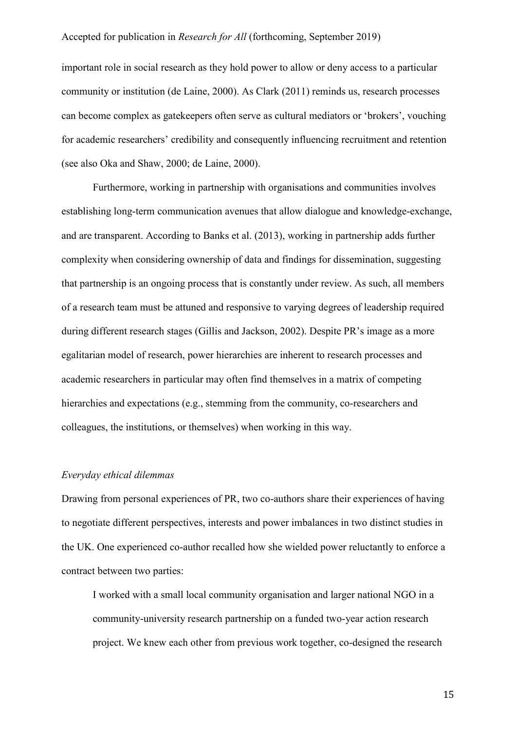important role in social research as they hold power to allow or deny access to a particular community or institution (de Laine, 2000). As Clark (2011) reminds us, research processes can become complex as gatekeepers often serve as cultural mediators or 'brokers', vouching for academic researchers' credibility and consequently influencing recruitment and retention (see also Oka and Shaw, 2000; de Laine, 2000).

Furthermore, working in partnership with organisations and communities involves establishing long-term communication avenues that allow dialogue and knowledge-exchange, and are transparent. According to Banks et al. (2013), working in partnership adds further complexity when considering ownership of data and findings for dissemination, suggesting that partnership is an ongoing process that is constantly under review. As such, all members of a research team must be attuned and responsive to varying degrees of leadership required during different research stages (Gillis and Jackson, 2002). Despite PR's image as a more egalitarian model of research, power hierarchies are inherent to research processes and academic researchers in particular may often find themselves in a matrix of competing hierarchies and expectations (e.g., stemming from the community, co-researchers and colleagues, the institutions, or themselves) when working in this way.

#### *Everyday ethical dilemmas*

Drawing from personal experiences of PR, two co-authors share their experiences of having to negotiate different perspectives, interests and power imbalances in two distinct studies in the UK. One experienced co-author recalled how she wielded power reluctantly to enforce a contract between two parties:

I worked with a small local community organisation and larger national NGO in a community-university research partnership on a funded two-year action research project. We knew each other from previous work together, co-designed the research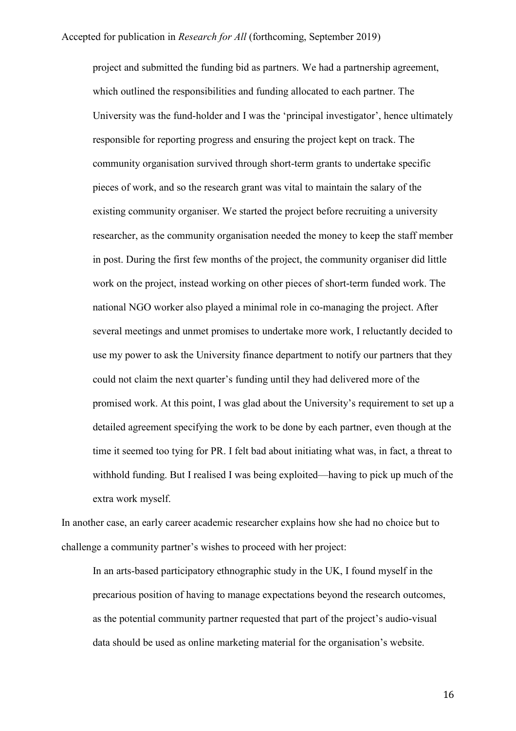project and submitted the funding bid as partners. We had a partnership agreement, which outlined the responsibilities and funding allocated to each partner. The University was the fund-holder and I was the 'principal investigator', hence ultimately responsible for reporting progress and ensuring the project kept on track. The community organisation survived through short-term grants to undertake specific pieces of work, and so the research grant was vital to maintain the salary of the existing community organiser. We started the project before recruiting a university researcher, as the community organisation needed the money to keep the staff member in post. During the first few months of the project, the community organiser did little work on the project, instead working on other pieces of short-term funded work. The national NGO worker also played a minimal role in co-managing the project. After several meetings and unmet promises to undertake more work, I reluctantly decided to use my power to ask the University finance department to notify our partners that they could not claim the next quarter's funding until they had delivered more of the promised work. At this point, I was glad about the University's requirement to set up a detailed agreement specifying the work to be done by each partner, even though at the time it seemed too tying for PR. I felt bad about initiating what was, in fact, a threat to withhold funding. But I realised I was being exploited—having to pick up much of the extra work myself.

In another case, an early career academic researcher explains how she had no choice but to challenge a community partner's wishes to proceed with her project:

In an arts-based participatory ethnographic study in the UK, I found myself in the precarious position of having to manage expectations beyond the research outcomes, as the potential community partner requested that part of the project's audio-visual data should be used as online marketing material for the organisation's website.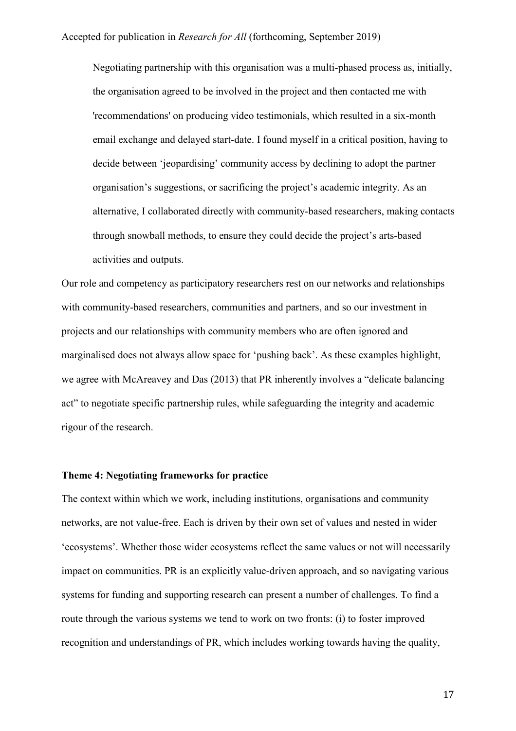Negotiating partnership with this organisation was a multi-phased process as, initially, the organisation agreed to be involved in the project and then contacted me with 'recommendations' on producing video testimonials, which resulted in a six-month email exchange and delayed start-date. I found myself in a critical position, having to decide between 'jeopardising' community access by declining to adopt the partner organisation's suggestions, or sacrificing the project's academic integrity. As an alternative, I collaborated directly with community-based researchers, making contacts through snowball methods, to ensure they could decide the project's arts-based activities and outputs.

Our role and competency as participatory researchers rest on our networks and relationships with community-based researchers, communities and partners, and so our investment in projects and our relationships with community members who are often ignored and marginalised does not always allow space for 'pushing back'. As these examples highlight, we agree with McAreavey and Das (2013) that PR inherently involves a "delicate balancing act" to negotiate specific partnership rules, while safeguarding the integrity and academic rigour of the research.

#### **Theme 4: Negotiating frameworks for practice**

The context within which we work, including institutions, organisations and community networks, are not value-free. Each is driven by their own set of values and nested in wider 'ecosystems'. Whether those wider ecosystems reflect the same values or not will necessarily impact on communities. PR is an explicitly value-driven approach, and so navigating various systems for funding and supporting research can present a number of challenges. To find a route through the various systems we tend to work on two fronts: (i) to foster improved recognition and understandings of PR, which includes working towards having the quality,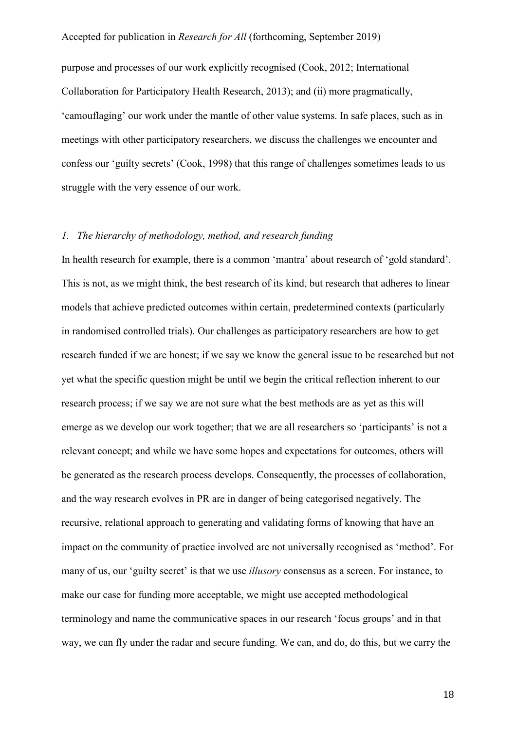purpose and processes of our work explicitly recognised (Cook, 2012; International Collaboration for Participatory Health Research, 2013); and (ii) more pragmatically, 'camouflaging' our work under the mantle of other value systems. In safe places, such as in meetings with other participatory researchers, we discuss the challenges we encounter and confess our 'guilty secrets' (Cook, 1998) that this range of challenges sometimes leads to us struggle with the very essence of our work.

# *1. The hierarchy of methodology, method, and research funding*

In health research for example, there is a common 'mantra' about research of 'gold standard'. This is not, as we might think, the best research of its kind, but research that adheres to linear models that achieve predicted outcomes within certain, predetermined contexts (particularly in randomised controlled trials). Our challenges as participatory researchers are how to get research funded if we are honest; if we say we know the general issue to be researched but not yet what the specific question might be until we begin the critical reflection inherent to our research process; if we say we are not sure what the best methods are as yet as this will emerge as we develop our work together; that we are all researchers so 'participants' is not a relevant concept; and while we have some hopes and expectations for outcomes, others will be generated as the research process develops. Consequently, the processes of collaboration, and the way research evolves in PR are in danger of being categorised negatively. The recursive, relational approach to generating and validating forms of knowing that have an impact on the community of practice involved are not universally recognised as 'method'. For many of us, our 'guilty secret' is that we use *illusory* consensus as a screen. For instance, to make our case for funding more acceptable, we might use accepted methodological terminology and name the communicative spaces in our research 'focus groups' and in that way, we can fly under the radar and secure funding. We can, and do, do this, but we carry the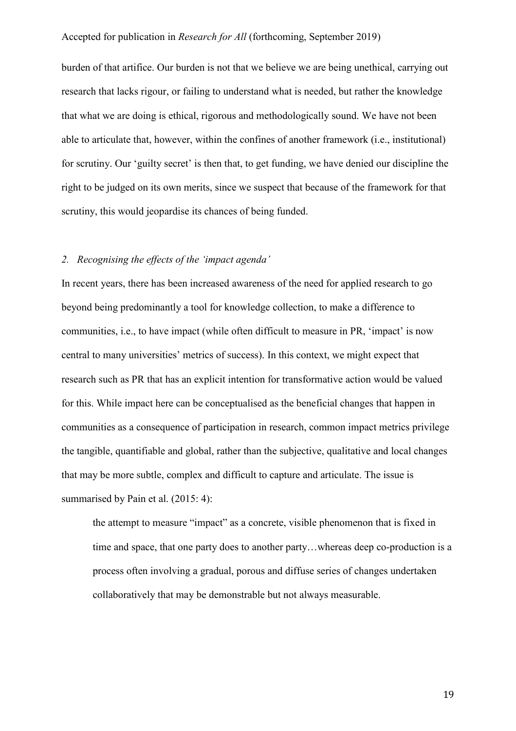burden of that artifice. Our burden is not that we believe we are being unethical, carrying out research that lacks rigour, or failing to understand what is needed, but rather the knowledge that what we are doing is ethical, rigorous and methodologically sound. We have not been able to articulate that, however, within the confines of another framework (i.e., institutional) for scrutiny. Our 'guilty secret' is then that, to get funding, we have denied our discipline the right to be judged on its own merits, since we suspect that because of the framework for that scrutiny, this would jeopardise its chances of being funded.

# *2. Recognising the effects of the 'impact agenda'*

In recent years, there has been increased awareness of the need for applied research to go beyond being predominantly a tool for knowledge collection, to make a difference to communities, i.e., to have impact (while often difficult to measure in PR, 'impact' is now central to many universities' metrics of success). In this context, we might expect that research such as PR that has an explicit intention for transformative action would be valued for this. While impact here can be conceptualised as the beneficial changes that happen in communities as a consequence of participation in research, common impact metrics privilege the tangible, quantifiable and global, rather than the subjective, qualitative and local changes that may be more subtle, complex and difficult to capture and articulate. The issue is summarised by Pain et al. (2015: 4):

the attempt to measure "impact" as a concrete, visible phenomenon that is fixed in time and space, that one party does to another party…whereas deep co-production is a process often involving a gradual, porous and diffuse series of changes undertaken collaboratively that may be demonstrable but not always measurable.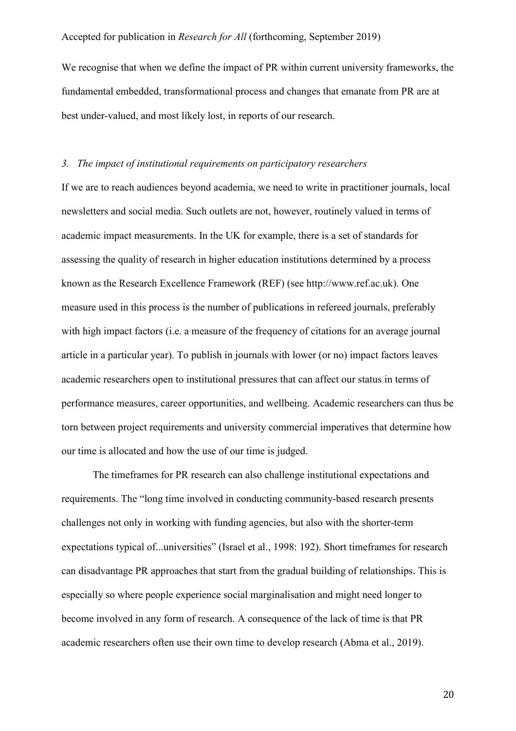We recognise that when we define the impact of PR within current university frameworks, the fundamental embedded, transformational process and changes that emanate from PR are at best under-valued, and most likely lost, in reports of our research.

#### *3. The impact of institutional requirements on participatory researchers*

If we are to reach audiences beyond academia, we need to write in practitioner journals, local newsletters and social media. Such outlets are not, however, routinely valued in terms of academic impact measurements. In the UK for example, there is a set of standards for assessing the quality of research in higher education institutions determined by a process known as the Research Excellence Framework (REF) (see [http://www.ref.ac.uk\)](http://www.ref.ac.uk/). One measure used in this process is the number of publications in refereed journals, preferably with high impact factors (i.e. a measure of the frequency of citations for an average journal article in a particular year). To publish in journals with lower (or no) impact factors leaves academic researchers open to institutional pressures that can affect our status in terms of performance measures, career opportunities, and wellbeing. Academic researchers can thus be torn between project requirements and university commercial imperatives that determine how our time is allocated and how the use of our time is judged.

The timeframes for PR research can also challenge institutional expectations and requirements. The "long time involved in conducting community-based research presents challenges not only in working with funding agencies, but also with the shorter-term expectations typical of...universities" (Israel et al., 1998: 192). Short timeframes for research can disadvantage PR approaches that start from the gradual building of relationships. This is especially so where people experience social marginalisation and might need longer to become involved in any form of research. A consequence of the lack of time is that PR academic researchers often use their own time to develop research (Abma et al., 2019).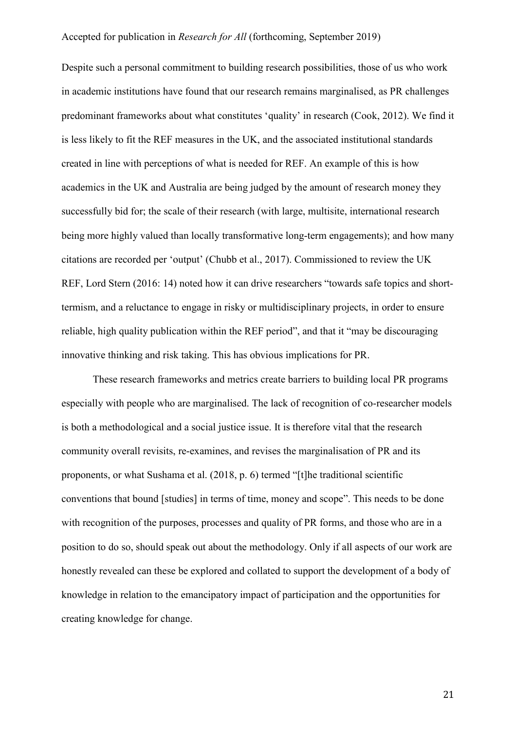Despite such a personal commitment to building research possibilities, those of us who work in academic institutions have found that our research remains marginalised, as PR challenges predominant frameworks about what constitutes 'quality' in research (Cook, 2012). We find it is less likely to fit the REF measures in the UK, and the associated institutional standards created in line with perceptions of what is needed for REF. An example of this is how academics in the UK and Australia are being judged by the amount of research money they successfully bid for; the scale of their research (with large, multisite, international research being more highly valued than locally transformative long-term engagements); and how many citations are recorded per 'output' (Chubb et al., 2017). Commissioned to review the UK REF, Lord Stern (2016: 14) noted how it can drive researchers "towards safe topics and shorttermism, and a reluctance to engage in risky or multidisciplinary projects, in order to ensure reliable, high quality publication within the REF period", and that it "may be discouraging innovative thinking and risk taking. This has obvious implications for PR.

These research frameworks and metrics create barriers to building local PR programs especially with people who are marginalised. The lack of recognition of co-researcher models is both a methodological and a social justice issue. It is therefore vital that the research community overall revisits, re-examines, and revises the marginalisation of PR and its proponents, or what Sushama et al. (2018, p. 6) termed "[t]he traditional scientific conventions that bound [studies] in terms of time, money and scope". This needs to be done with recognition of the purposes, processes and quality of PR forms, and those who are in a position to do so, should speak out about the methodology. Only if all aspects of our work are honestly revealed can these be explored and collated to support the development of a body of knowledge in relation to the emancipatory impact of participation and the opportunities for creating knowledge for change.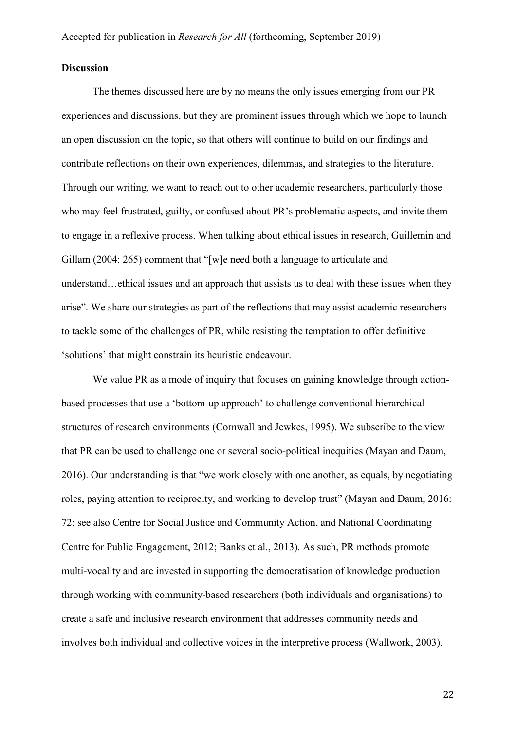# **Discussion**

The themes discussed here are by no means the only issues emerging from our PR experiences and discussions, but they are prominent issues through which we hope to launch an open discussion on the topic, so that others will continue to build on our findings and contribute reflections on their own experiences, dilemmas, and strategies to the literature. Through our writing, we want to reach out to other academic researchers, particularly those who may feel frustrated, guilty, or confused about PR's problematic aspects, and invite them to engage in a reflexive process. When talking about ethical issues in research, Guillemin and Gillam (2004: 265) comment that "[w]e need both a language to articulate and understand…ethical issues and an approach that assists us to deal with these issues when they arise". We share our strategies as part of the reflections that may assist academic researchers to tackle some of the challenges of PR, while resisting the temptation to offer definitive 'solutions' that might constrain its heuristic endeavour.

We value PR as a mode of inquiry that focuses on gaining knowledge through actionbased processes that use a 'bottom-up approach' to challenge conventional hierarchical structures of research environments (Cornwall and Jewkes, 1995). We subscribe to the view that PR can be used to challenge one or several socio-political inequities (Mayan and Daum, 2016). Our understanding is that "we work closely with one another, as equals, by negotiating roles, paying attention to reciprocity, and working to develop trust" (Mayan and Daum, 2016: 72; see also Centre for Social Justice and Community Action, and National Coordinating Centre for Public Engagement, 2012; Banks et al., 2013). As such, PR methods promote multi-vocality and are invested in supporting the democratisation of knowledge production through working with community-based researchers (both individuals and organisations) to create a safe and inclusive research environment that addresses community needs and involves both individual and collective voices in the interpretive process (Wallwork, 2003).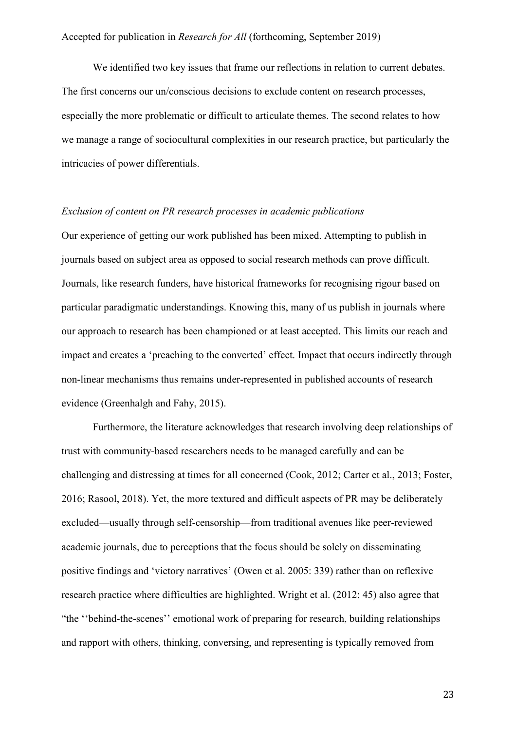We identified two key issues that frame our reflections in relation to current debates. The first concerns our un/conscious decisions to exclude content on research processes, especially the more problematic or difficult to articulate themes. The second relates to how we manage a range of sociocultural complexities in our research practice, but particularly the intricacies of power differentials.

#### *Exclusion of content on PR research processes in academic publications*

Our experience of getting our work published has been mixed. Attempting to publish in journals based on subject area as opposed to social research methods can prove difficult. Journals, like research funders, have historical frameworks for recognising rigour based on particular paradigmatic understandings. Knowing this, many of us publish in journals where our approach to research has been championed or at least accepted. This limits our reach and impact and creates a 'preaching to the converted' effect. Impact that occurs indirectly through non-linear mechanisms thus remains under-represented in published accounts of research evidence (Greenhalgh and Fahy, 2015).

Furthermore, the literature acknowledges that research involving deep relationships of trust with community-based researchers needs to be managed carefully and can be challenging and distressing at times for all concerned (Cook, 2012; Carter et al., 2013; Foster, 2016; Rasool, 2018). Yet, the more textured and difficult aspects of PR may be deliberately excluded—usually through self-censorship—from traditional avenues like peer-reviewed academic journals, due to perceptions that the focus should be solely on disseminating positive findings and 'victory narratives' (Owen et al. 2005: 339) rather than on reflexive research practice where difficulties are highlighted. Wright et al. (2012: 45) also agree that "the ''behind-the-scenes'' emotional work of preparing for research, building relationships and rapport with others, thinking, conversing, and representing is typically removed from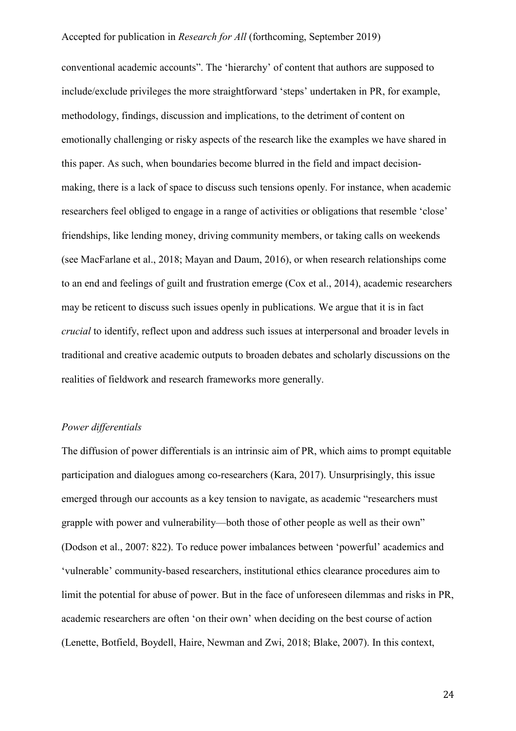conventional academic accounts". The 'hierarchy' of content that authors are supposed to include/exclude privileges the more straightforward 'steps' undertaken in PR, for example, methodology, findings, discussion and implications, to the detriment of content on emotionally challenging or risky aspects of the research like the examples we have shared in this paper. As such, when boundaries become blurred in the field and impact decisionmaking, there is a lack of space to discuss such tensions openly. For instance, when academic researchers feel obliged to engage in a range of activities or obligations that resemble 'close' friendships, like lending money, driving community members, or taking calls on weekends (see MacFarlane et al., 2018; Mayan and Daum, 2016), or when research relationships come to an end and feelings of guilt and frustration emerge (Cox et al., 2014), academic researchers may be reticent to discuss such issues openly in publications. We argue that it is in fact *crucial* to identify, reflect upon and address such issues at interpersonal and broader levels in traditional and creative academic outputs to broaden debates and scholarly discussions on the realities of fieldwork and research frameworks more generally.

#### *Power differentials*

The diffusion of power differentials is an intrinsic aim of PR, which aims to prompt equitable participation and dialogues among co-researchers (Kara, 2017). Unsurprisingly, this issue emerged through our accounts as a key tension to navigate, as academic "researchers must grapple with power and vulnerability—both those of other people as well as their own" (Dodson et al., 2007: 822). To reduce power imbalances between 'powerful' academics and 'vulnerable' community-based researchers, institutional ethics clearance procedures aim to limit the potential for abuse of power. But in the face of unforeseen dilemmas and risks in PR, academic researchers are often 'on their own' when deciding on the best course of action (Lenette, Botfield, Boydell, Haire, Newman and Zwi, 2018; Blake, 2007). In this context,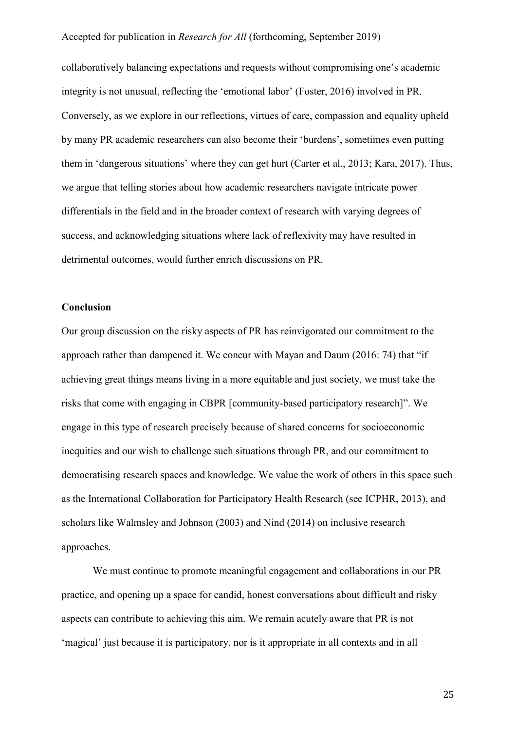collaboratively balancing expectations and requests without compromising one's academic integrity is not unusual, reflecting the 'emotional labor' (Foster, 2016) involved in PR. Conversely, as we explore in our reflections, virtues of care, compassion and equality upheld by many PR academic researchers can also become their 'burdens', sometimes even putting them in 'dangerous situations' where they can get hurt (Carter et al., 2013; Kara, 2017). Thus, we argue that telling stories about how academic researchers navigate intricate power differentials in the field and in the broader context of research with varying degrees of success, and acknowledging situations where lack of reflexivity may have resulted in detrimental outcomes, would further enrich discussions on PR.

#### **Conclusion**

Our group discussion on the risky aspects of PR has reinvigorated our commitment to the approach rather than dampened it. We concur with Mayan and Daum (2016: 74) that "if achieving great things means living in a more equitable and just society, we must take the risks that come with engaging in CBPR [community-based participatory research]". We engage in this type of research precisely because of shared concerns for socioeconomic inequities and our wish to challenge such situations through PR, and our commitment to democratising research spaces and knowledge. We value the work of others in this space such as the International Collaboration for Participatory Health Research (see ICPHR, 2013), and scholars like Walmsley and Johnson (2003) and Nind (2014) on inclusive research approaches.

We must continue to promote meaningful engagement and collaborations in our PR practice, and opening up a space for candid, honest conversations about difficult and risky aspects can contribute to achieving this aim. We remain acutely aware that PR is not 'magical' just because it is participatory, nor is it appropriate in all contexts and in all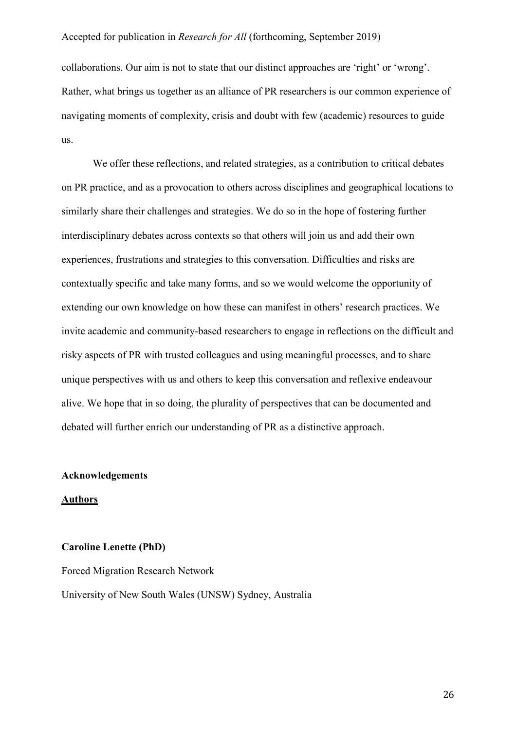collaborations. Our aim is not to state that our distinct approaches are 'right' or 'wrong'. Rather, what brings us together as an alliance of PR researchers is our common experience of navigating moments of complexity, crisis and doubt with few (academic) resources to guide us.

We offer these reflections, and related strategies, as a contribution to critical debates on PR practice, and as a provocation to others across disciplines and geographical locations to similarly share their challenges and strategies. We do so in the hope of fostering further interdisciplinary debates across contexts so that others will join us and add their own experiences, frustrations and strategies to this conversation. Difficulties and risks are contextually specific and take many forms, and so we would welcome the opportunity of extending our own knowledge on how these can manifest in others' research practices. We invite academic and community-based researchers to engage in reflections on the difficult and risky aspects of PR with trusted colleagues and using meaningful processes, and to share unique perspectives with us and others to keep this conversation and reflexive endeavour alive. We hope that in so doing, the plurality of perspectives that can be documented and debated will further enrich our understanding of PR as a distinctive approach.

#### **Acknowledgements**

#### **Authors**

# **Caroline Lenette (PhD)**

Forced Migration Research Network

University of New South Wales (UNSW) Sydney, Australia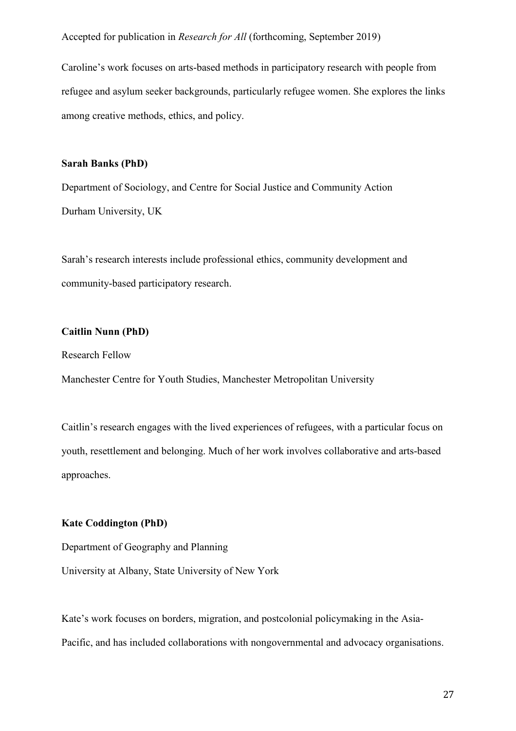Caroline's work focuses on arts-based methods in participatory research with people from refugee and asylum seeker backgrounds, particularly refugee women. She explores the links among creative methods, ethics, and policy.

# **Sarah Banks (PhD)**

Department of Sociology, and Centre for Social Justice and Community Action Durham University, UK

Sarah's research interests include professional ethics, community development and community-based participatory research.

# **Caitlin Nunn (PhD)**

Research Fellow

Manchester Centre for Youth Studies, Manchester Metropolitan University

Caitlin's research engages with the lived experiences of refugees, with a particular focus on youth, resettlement and belonging. Much of her work involves collaborative and arts-based approaches.

#### **Kate Coddington (PhD)**

Department of Geography and Planning

University at Albany, State University of New York

Kate's work focuses on borders, migration, and postcolonial policymaking in the Asia-Pacific, and has included collaborations with nongovernmental and advocacy organisations.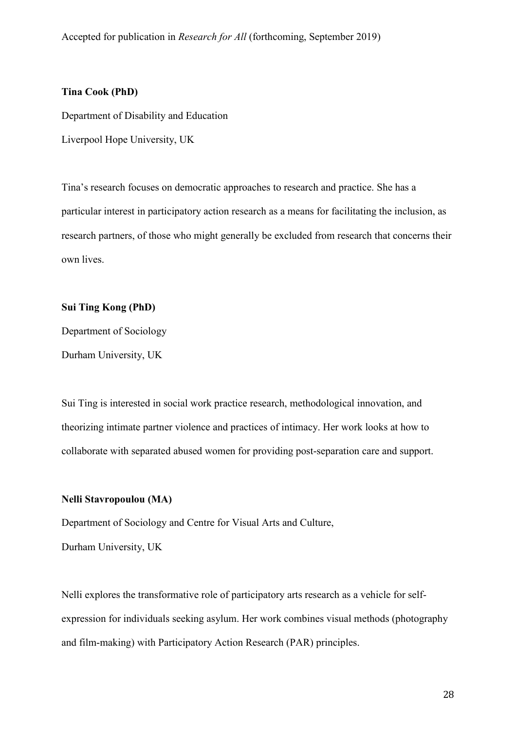# **Tina Cook (PhD)**

Department of Disability and Education

Liverpool Hope University, UK

Tina's research focuses on democratic approaches to research and practice. She has a particular interest in participatory action research as a means for facilitating the inclusion, as research partners, of those who might generally be excluded from research that concerns their own lives.

#### **Sui Ting Kong (PhD)**

Department of Sociology Durham University, UK

Sui Ting is interested in social work practice research, methodological innovation, and theorizing intimate partner violence and practices of intimacy. Her work looks at how to collaborate with separated abused women for providing post-separation care and support.

# **Nelli Stavropoulou (MA)**

Department of Sociology and Centre for Visual Arts and Culture, Durham University, UK

Nelli explores the transformative role of participatory arts research as a vehicle for selfexpression for individuals seeking asylum. Her work combines visual methods (photography and film-making) with Participatory Action Research (PAR) principles.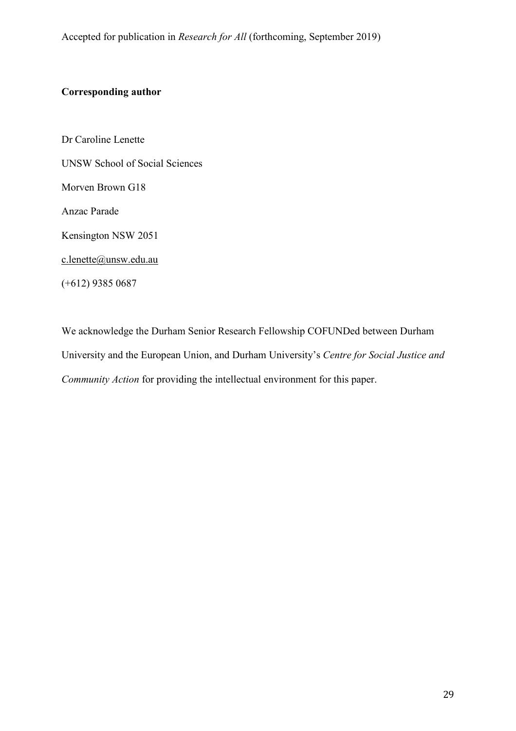# **Corresponding author**

Dr Caroline Lenette UNSW School of Social Sciences Morven Brown G18 Anzac Parade Kensington NSW 2051 [c.lenette@unsw.edu.au](mailto:c.lenette@unsw.edu.au) (+612) 9385 0687

We acknowledge the Durham Senior Research Fellowship COFUNDed between Durham University and the European Union, and Durham University's *Centre for Social Justice and Community Action* for providing the intellectual environment for this paper.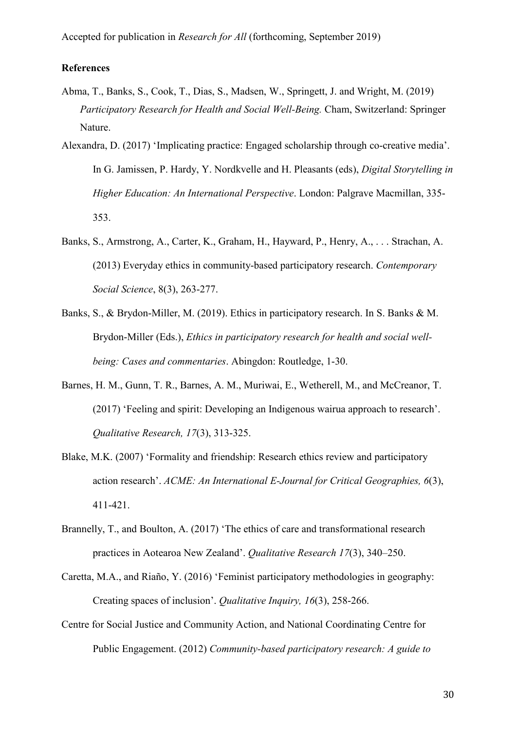# **References**

- Abma, T., Banks, S., Cook, T., Dias, S., Madsen, W., Springett, J. and Wright, M. (2019) *Participatory Research for Health and Social Well-Being.* Cham, Switzerland: Springer Nature.
- Alexandra, D. (2017) 'Implicating practice: Engaged scholarship through co-creative media'. In G. Jamissen, P. Hardy, Y. Nordkvelle and H. Pleasants (eds), *Digital Storytelling in Higher Education: An International Perspective*. London: Palgrave Macmillan, 335- 353.
- Banks, S., Armstrong, A., Carter, K., Graham, H., Hayward, P., Henry, A., . . . Strachan, A. (2013) Everyday ethics in community-based participatory research. *Contemporary Social Science*, 8(3), 263-277.
- Banks, S., & Brydon-Miller, M. (2019). Ethics in participatory research. In S. Banks & M. Brydon-Miller (Eds.), *Ethics in participatory research for health and social wellbeing: Cases and commentaries*. Abingdon: Routledge, 1-30.
- Barnes, H. M., Gunn, T. R., Barnes, A. M., Muriwai, E., Wetherell, M., and McCreanor, T. (2017) 'Feeling and spirit: Developing an Indigenous wairua approach to research'. *Qualitative Research, 17*(3), 313-325.
- Blake, M.K. (2007) 'Formality and friendship: Research ethics review and participatory action research'. *ACME: An International E-Journal for Critical Geographies, 6*(3), 411-421.
- Brannelly, T., and Boulton, A. (2017) 'The ethics of care and transformational research practices in Aotearoa New Zealand'. *Qualitative Research 17*(3), 340–250.
- Caretta, M.A., and Riaño, Y. (2016) 'Feminist participatory methodologies in geography: Creating spaces of inclusion'. *Qualitative Inquiry, 16*(3), 258-266.
- Centre for Social Justice and Community Action, and National Coordinating Centre for Public Engagement. (2012) *Community-based participatory research: A guide to*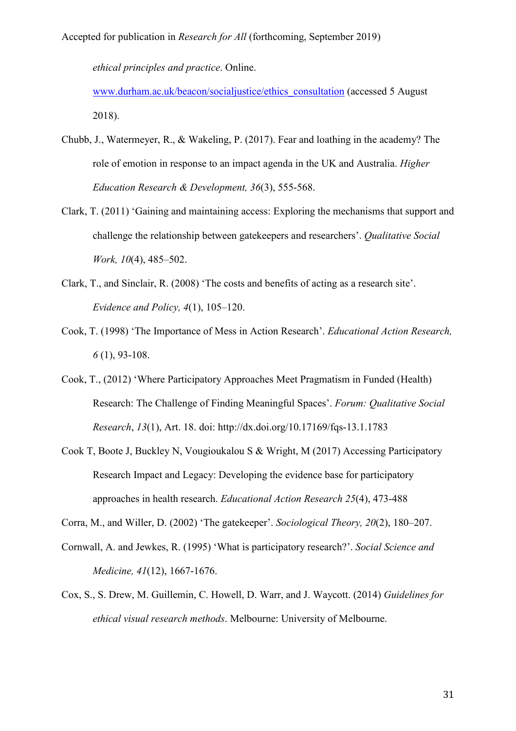*ethical principles and practice*. Online.

[www.durham.ac.uk/beacon/socialjustice/ethics\\_consultation](http://www.durham.ac.uk/beacon/socialjustice/ethics_consultation) (accessed 5 August 2018).

- Chubb, J., Watermeyer, R., & Wakeling, P. (2017). Fear and loathing in the academy? The role of emotion in response to an impact agenda in the UK and Australia. *Higher Education Research & Development, 36*(3), 555-568.
- Clark, T. (2011) 'Gaining and maintaining access: Exploring the mechanisms that support and challenge the relationship between gatekeepers and researchers'. *Qualitative Social Work, 10*(4), 485–502.
- Clark, T., and Sinclair, R. (2008) 'The costs and benefits of acting as a research site'. *Evidence and Policy, 4*(1), 105–120.
- Cook, T. (1998) 'The Importance of Mess in Action Research'. *Educational Action Research, 6* (1), 93-108.
- Cook, T., (2012) 'Where Participatory Approaches Meet Pragmatism in Funded (Health) Research: The Challenge of Finding Meaningful Spaces'. *Forum: Qualitative Social Research*, *13*(1), Art. 18. doi: <http://dx.doi.org/10.17169/fqs-13.1.1783>
- Cook T, Boote J, Buckley N, Vougioukalou S & Wright, M (2017) Accessing Participatory Research Impact and Legacy: Developing the evidence base for participatory approaches in health research. *Educational Action Research 25*(4), 473-488

Corra, M., and Willer, D. (2002) 'The gatekeeper'. *Sociological Theory, 20*(2), 180–207.

- Cornwall, A. and Jewkes, R. (1995) 'What is participatory research?'. *Social Science and Medicine, 41*(12), 1667-1676.
- Cox, S., S. Drew, M. Guillemin, C. Howell, D. Warr, and J. Waycott. (2014) *Guidelines for ethical visual research methods*. Melbourne: University of Melbourne.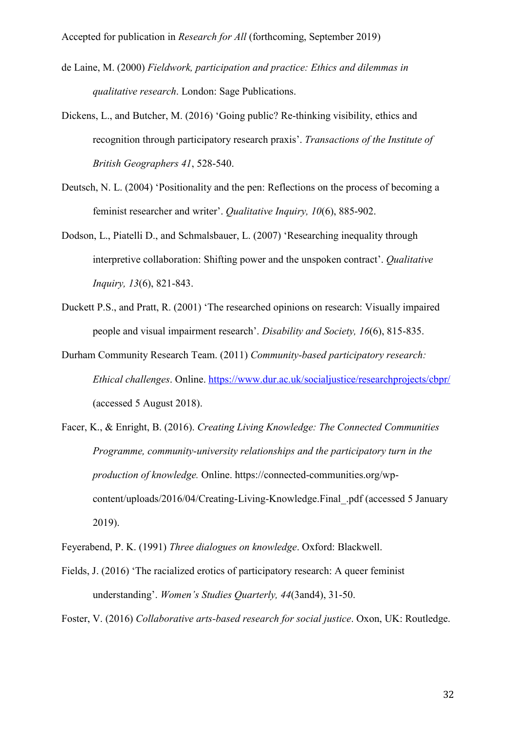- de Laine, M. (2000) *Fieldwork, participation and practice: Ethics and dilemmas in qualitative research*. London: Sage Publications.
- Dickens, L., and Butcher, M. (2016) 'Going public? Re-thinking visibility, ethics and recognition through participatory research praxis'. *Transactions of the Institute of British Geographers 41*, 528-540.
- Deutsch, N. L. (2004) 'Positionality and the pen: Reflections on the process of becoming a feminist researcher and writer'. *Qualitative Inquiry, 10*(6), 885-902.
- Dodson, L., Piatelli D., and Schmalsbauer, L. (2007) 'Researching inequality through interpretive collaboration: Shifting power and the unspoken contract'. *Qualitative Inquiry, 13*(6), 821-843.
- Duckett P.S., and Pratt, R. (2001) 'The researched opinions on research: Visually impaired people and visual impairment research'. *Disability and Society, 16*(6), 815-835.
- Durham Community Research Team. (2011) *Community-based participatory research: Ethical challenges*. Online. <https://www.dur.ac.uk/socialjustice/researchprojects/cbpr/> (accessed 5 August 2018).
- Facer, K., & Enright, B. (2016). *Creating Living Knowledge: The Connected Communities Programme, community-university relationships and the participatory turn in the production of knowledge.* Online. https://connected-communities.org/wpcontent/uploads/2016/04/Creating-Living-Knowledge.Final\_.pdf (accessed 5 January 2019).

Feyerabend, P. K. (1991) *Three dialogues on knowledge*. Oxford: Blackwell.

Fields, J. (2016) 'The racialized erotics of participatory research: A queer feminist understanding'. *Women's Studies Quarterly, 44*(3and4), 31-50.

Foster, V. (2016) *Collaborative arts-based research for social justice*. Oxon, UK: Routledge.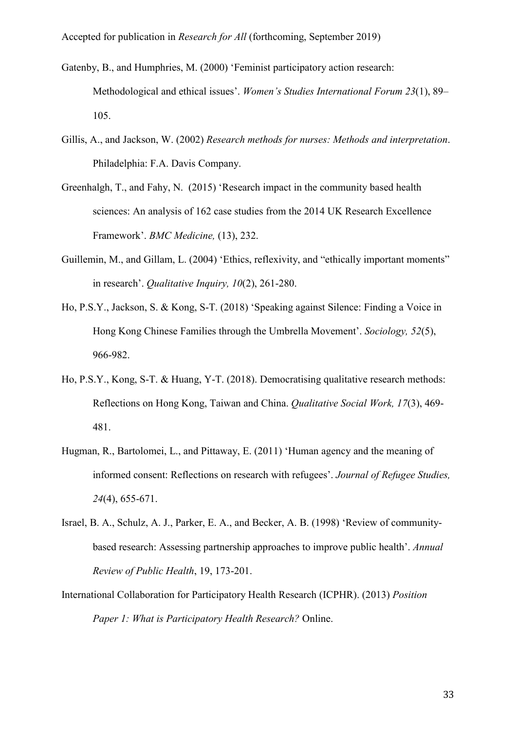- Gatenby, B., and Humphries, M. (2000) 'Feminist participatory action research: Methodological and ethical issues'. *Women's Studies International Forum 23*(1), 89– 105.
- Gillis, A., and Jackson, W. (2002) *Research methods for nurses: Methods and interpretation*. Philadelphia: F.A. Davis Company.
- Greenhalgh, T., and Fahy, N. (2015) 'Research impact in the community based health sciences: An analysis of 162 case studies from the 2014 UK Research Excellence Framework'. *BMC Medicine,* (13), 232.
- Guillemin, M., and Gillam, L. (2004) 'Ethics, reflexivity, and "ethically important moments" in research'. *Qualitative Inquiry, 10*(2), 261-280.
- Ho, P.S.Y., Jackson, S. & Kong, S-T. (2018) 'Speaking against Silence: Finding a Voice in Hong Kong Chinese Families through the Umbrella Movement'. *Sociology, 52*(5), 966-982.
- Ho, P.S.Y., Kong, S-T. & Huang, Y-T. (2018). Democratising qualitative research methods: Reflections on Hong Kong, Taiwan and China. *Qualitative Social Work, 17*(3), 469- 481.
- Hugman, R., Bartolomei, L., and Pittaway, E. (2011) 'Human agency and the meaning of informed consent: Reflections on research with refugees'. *Journal of Refugee Studies, 24*(4), 655-671.
- Israel, B. A., Schulz, A. J., Parker, E. A., and Becker, A. B. (1998) 'Review of communitybased research: Assessing partnership approaches to improve public health'. *Annual Review of Public Health*, 19, 173-201.
- International Collaboration for Participatory Health Research (ICPHR). (2013) *Position Paper 1: What is Participatory Health Research?* Online.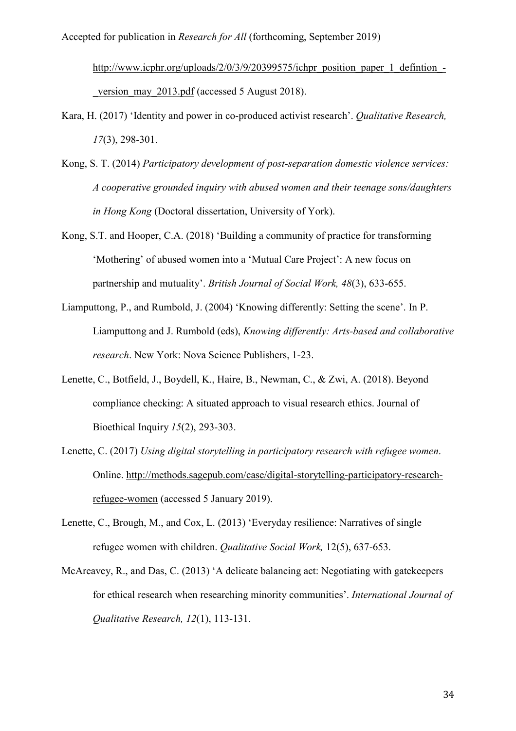[http://www.icphr.org/uploads/2/0/3/9/20399575/ichpr\\_position\\_paper\\_1\\_defintion\\_](http://www.icphr.org/uploads/2/0/3/9/20399575/ichpr_position_paper_1_defintion_-_version_may_2013.pdf) version may 2013.pdf (accessed 5 August 2018).

- Kara, H. (2017) 'Identity and power in co-produced activist research'. *Qualitative Research, 17*(3), 298-301.
- Kong, S. T. (2014) *Participatory development of post-separation domestic violence services: A cooperative grounded inquiry with abused women and their teenage sons/daughters in Hong Kong* (Doctoral dissertation, University of York).
- Kong, S.T. and Hooper, C.A. (2018) 'Building a community of practice for transforming 'Mothering' of abused women into a 'Mutual Care Project': A new focus on partnership and mutuality'. *British Journal of Social Work, 48*(3), 633-655.
- Liamputtong, P., and Rumbold, J. (2004) 'Knowing differently: Setting the scene'. In P. Liamputtong and J. Rumbold (eds), *Knowing differently: Arts-based and collaborative research*. New York: Nova Science Publishers, 1-23.
- Lenette, C., Botfield, J., Boydell, K., Haire, B., Newman, C., & Zwi, A. (2018). Beyond compliance checking: A situated approach to visual research ethics. Journal of Bioethical Inquiry *15*(2), 293-303.
- Lenette, C. (2017) *Using digital storytelling in participatory research with refugee women*. Online. [http://methods.sagepub.com/case/digital-storytelling-participatory-research](http://methods.sagepub.com/case/digital-storytelling-participatory-research-refugee-women)[refugee-women](http://methods.sagepub.com/case/digital-storytelling-participatory-research-refugee-women) (accessed 5 January 2019).
- Lenette, C., Brough, M., and Cox, L. (2013) 'Everyday resilience: Narratives of single refugee women with children. *Qualitative Social Work,* 12(5), 637-653.
- McAreavey, R., and Das, C. (2013) 'A delicate balancing act: Negotiating with gatekeepers for ethical research when researching minority communities'. *International Journal of Qualitative Research, 12*(1), 113-131.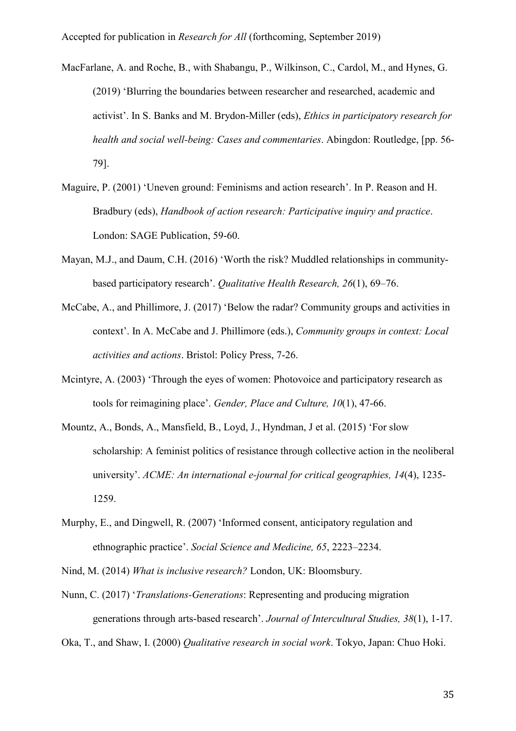- MacFarlane, A. and Roche, B., with Shabangu, P., Wilkinson, C., Cardol, M., and Hynes, G. (2019) 'Blurring the boundaries between researcher and researched, academic and activist'. In S. Banks and M. Brydon-Miller (eds), *Ethics in participatory research for health and social well-being: Cases and commentaries*. Abingdon: Routledge, [pp. 56- 79].
- Maguire, P. (2001) 'Uneven ground: Feminisms and action research'. In P. Reason and H. Bradbury (eds), *Handbook of action research: Participative inquiry and practice*. London: SAGE Publication, 59-60.
- Mayan, M.J., and Daum, C.H. (2016) 'Worth the risk? Muddled relationships in communitybased participatory research'. *Qualitative Health Research, 26*(1), 69–76.
- McCabe, A., and Phillimore, J. (2017) 'Below the radar? Community groups and activities in context'. In A. McCabe and J. Phillimore (eds.), *Community groups in context: Local activities and actions*. Bristol: Policy Press, 7-26.
- Mcintyre, A. (2003) 'Through the eyes of women: Photovoice and participatory research as tools for reimagining place'. *Gender, Place and [Culture,](http://www.tandfonline.com/toc/cgpc20/10/1) 10*(1), 47-66.
- Mountz, A., Bonds, A., Mansfield, B., Loyd, J., Hyndman, J et al. (2015) 'For slow scholarship: A feminist politics of resistance through collective action in the neoliberal university'. *ACME: An international e-journal for critical geographies, 14*(4), 1235- 1259.
- Murphy, E., and Dingwell, R. (2007) 'Informed consent, anticipatory regulation and ethnographic practice'. *Social Science and Medicine, 65*, 2223–2234.
- Nind, M. (2014) *What is inclusive research?* London, UK: Bloomsbury.
- Nunn, C. (2017) '*Translations-Generations*: Representing and producing migration generations through arts-based research'. *Journal of Intercultural Studies, 38*(1), 1-17.

Oka, T., and Shaw, I. (2000) *Qualitative research in social work*. Tokyo, Japan: Chuo Hoki.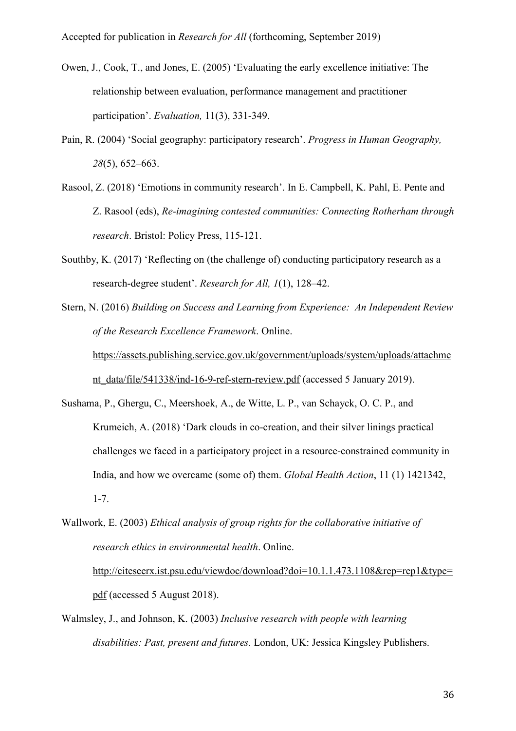- Owen, J., Cook, T., and Jones, E. (2005) 'Evaluating the early excellence initiative: The relationship between evaluation, performance management and practitioner participation'. *Evaluation,* 11(3), 331-349.
- Pain, R. (2004) 'Social geography: participatory research'. *Progress in Human Geography, 28*(5), 652–663.
- Rasool, Z. (2018) 'Emotions in community research'. In E. Campbell, K. Pahl, E. Pente and Z. Rasool (eds), *Re-imagining contested communities: Connecting Rotherham through research*. Bristol: Policy Press, 115-121.
- Southby, K. (2017) 'Reflecting on (the challenge of) conducting participatory research as a research-degree student'. *Research for All, 1*(1), 128–42.
- Stern, N. (2016) *Building on Success and Learning from Experience: An Independent Review of the Research Excellence Framework*. Online.

[https://assets.publishing.service.gov.uk/government/uploads/system/uploads/attachme](https://assets.publishing.service.gov.uk/government/uploads/system/uploads/attachment_data/file/541338/ind-16-9-ref-stern-review.pdf)

[nt\\_data/file/541338/ind-16-9-ref-stern-review.pdf](https://assets.publishing.service.gov.uk/government/uploads/system/uploads/attachment_data/file/541338/ind-16-9-ref-stern-review.pdf) (accessed 5 January 2019).

Sushama, P., Ghergu, C., Meershoek, A., de Witte, L. P., van Schayck, O. C. P., and Krumeich, A. (2018) 'Dark clouds in co-creation, and their silver linings practical challenges we faced in a participatory project in a resource-constrained community in India, and how we overcame (some of) them. *Global Health Action*, 11 (1) 1421342, 1-7.

Walmsley, J., and Johnson, K. (2003) *Inclusive research with people with learning disabilities: Past, present and futures.* London, UK: Jessica Kingsley Publishers.

Wallwork, E. (2003) *Ethical analysis of group rights for the collaborative initiative of research ethics in environmental health*. Online. [http://citeseerx.ist.psu.edu/viewdoc/download?doi=10.1.1.473.1108&rep=rep1&type=](http://citeseerx.ist.psu.edu/viewdoc/download?doi=10.1.1.473.1108&rep=rep1&type=pdf) [pdf](http://citeseerx.ist.psu.edu/viewdoc/download?doi=10.1.1.473.1108&rep=rep1&type=pdf) (accessed 5 August 2018).